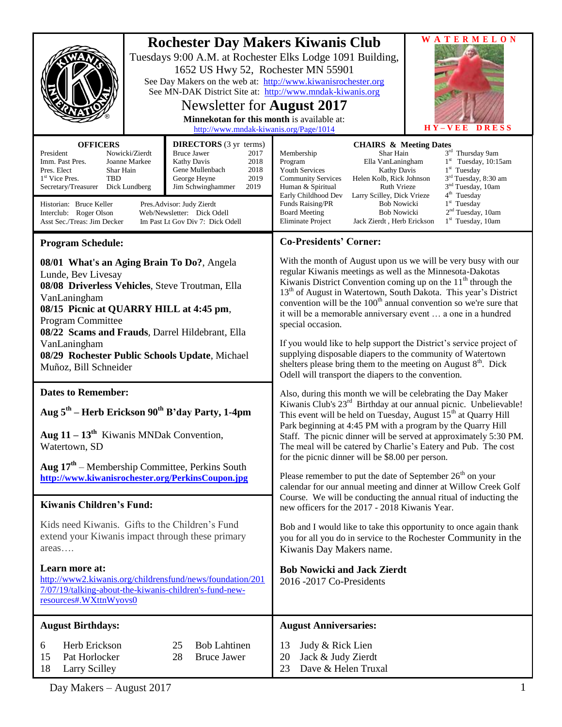| <b>Rochester Day Makers Kiwanis Club</b><br>Tuesdays 9:00 A.M. at Rochester Elks Lodge 1091 Building,<br>1652 US Hwy 52, Rochester MN 55901<br>See Day Makers on the web at: http://www.kiwanisrochester.org<br>See MN-DAK District Site at: http://www.mndak-kiwanis.org<br>Newsletter for <b>August 2017</b><br>Minnekotan for this month is available at:<br>http://www.mndak-kiwanis.org/Page/1014                                                                                                                                                       | <b>WATERMELON</b><br>$H Y - V E E$<br><b>DRESS</b>                                                                                                                                                                                                                                                                                                                                                                                                                                                                                                                                                                                                                                                                                                                                                                                                                                                               |
|--------------------------------------------------------------------------------------------------------------------------------------------------------------------------------------------------------------------------------------------------------------------------------------------------------------------------------------------------------------------------------------------------------------------------------------------------------------------------------------------------------------------------------------------------------------|------------------------------------------------------------------------------------------------------------------------------------------------------------------------------------------------------------------------------------------------------------------------------------------------------------------------------------------------------------------------------------------------------------------------------------------------------------------------------------------------------------------------------------------------------------------------------------------------------------------------------------------------------------------------------------------------------------------------------------------------------------------------------------------------------------------------------------------------------------------------------------------------------------------|
| <b>OFFICERS</b><br><b>DIRECTORS</b> (3 yr terms)<br><b>Bruce Jawer</b><br>President<br>Nowicki/Zierdt<br>2017<br>Kathy Davis<br>2018<br>Imm. Past Pres.<br>Joanne Markee<br>Gene Mullenbach<br>2018<br>Pres. Elect<br>Shar Hain<br>1 <sup>st</sup> Vice Pres.<br><b>TBD</b><br>2019<br>George Heyne<br>Secretary/Treasurer<br>Jim Schwinghammer<br>2019<br>Dick Lundberg<br>Historian: Bruce Keller<br>Pres. Advisor: Judy Zierdt<br>Web/Newsletter: Dick Odell<br>Interclub: Roger Olson<br>Asst Sec./Treas: Jim Decker<br>Im Past Lt Gov Div 7: Dick Odell | <b>CHAIRS &amp; Meeting Dates</b><br>3rd Thursday 9am<br>Membership<br>Shar Hain<br>$1st$ Tuesday, 10:15am<br>Program<br>Ella VanLaningham<br>$1st$ Tuesday<br>Kathy Davis<br><b>Youth Services</b><br>3 <sup>rd</sup> Tuesday, 8:30 am<br>Helen Kolb, Rick Johnson<br><b>Community Services</b><br>3 <sup>nd</sup> Tuesday, 10am<br><b>Ruth Vrieze</b><br>Human & Spiritual<br>4 <sup>th</sup> Tuesday<br>Early Childhood Dev<br>Larry Scilley, Dick Vrieze<br>1 <sup>st</sup> Tuesday<br><b>Bob Nowicki</b><br>Funds Raising/PR<br>2 <sup>nd</sup> Tuesday, 10am<br><b>Board Meeting</b><br><b>Bob Nowicki</b><br><b>Eliminate Project</b><br>$1st$ Tuesday, 10am<br>Jack Zierdt, Herb Erickson                                                                                                                                                                                                                |
| <b>Program Schedule:</b><br>08/01 What's an Aging Brain To Do?, Angela<br>Lunde, Bev Livesay<br>08/08 Driverless Vehicles, Steve Troutman, Ella<br>VanLaningham<br>08/15 Picnic at QUARRY HILL at 4:45 pm,<br>Program Committee<br>08/22 Scams and Frauds, Darrel Hildebrant, Ella<br>VanLaningham<br>08/29 Rochester Public Schools Update, Michael<br>Muñoz, Bill Schneider                                                                                                                                                                                | <b>Co-Presidents' Corner:</b><br>With the month of August upon us we will be very busy with our<br>regular Kiwanis meetings as well as the Minnesota-Dakotas<br>Kiwanis District Convention coming up on the $11th$ through the<br>13 <sup>th</sup> of August in Watertown, South Dakota. This year's District<br>convention will be the 100 <sup>th</sup> annual convention so we're sure that<br>it will be a memorable anniversary event  a one in a hundred<br>special occasion.<br>If you would like to help support the District's service project of<br>supplying disposable diapers to the community of Watertown<br>shelters please bring them to the meeting on August $8th$ . Dick<br>Odell will transport the diapers to the convention.                                                                                                                                                             |
| <b>Dates to Remember:</b><br>Aug 5 <sup>th</sup> – Herb Erickson 90 <sup>th</sup> B'day Party, 1-4pm<br>Aug $11 - 13$ <sup>th</sup> Kiwanis MNDak Convention,<br>Watertown, SD<br>Aug $17th$ – Membership Committee, Perkins South<br>http://www.kiwanisrochester.org/PerkinsCoupon.jpg<br><b>Kiwanis Children's Fund:</b><br>Kids need Kiwanis. Gifts to the Children's Fund<br>extend your Kiwanis impact through these primary<br>$area$                                                                                                                  | Also, during this month we will be celebrating the Day Maker<br>Kiwanis Club's 23 <sup>rd</sup> Birthday at our annual picnic. Unbelievable!<br>This event will be held on Tuesday, August 15 <sup>th</sup> at Quarry Hill<br>Park beginning at 4:45 PM with a program by the Quarry Hill<br>Staff. The picnic dinner will be served at approximately 5:30 PM.<br>The meal will be catered by Charlie's Eatery and Pub. The cost<br>for the picnic dinner will be \$8.00 per person.<br>Please remember to put the date of September $26th$ on your<br>calendar for our annual meeting and dinner at Willow Creek Golf<br>Course. We will be conducting the annual ritual of inducting the<br>new officers for the 2017 - 2018 Kiwanis Year.<br>Bob and I would like to take this opportunity to once again thank<br>you for all you do in service to the Rochester Community in the<br>Kiwanis Day Makers name. |
| Learn more at:<br>http://www2.kiwanis.org/childrensfund/news/foundation/201<br>7/07/19/talking-about-the-kiwanis-children's-fund-new-<br>resources#.WXttnWyovs0                                                                                                                                                                                                                                                                                                                                                                                              | <b>Bob Nowicki and Jack Zierdt</b><br>2016 -2017 Co-Presidents                                                                                                                                                                                                                                                                                                                                                                                                                                                                                                                                                                                                                                                                                                                                                                                                                                                   |
| <b>August Birthdays:</b><br>Herb Erickson<br><b>Bob Lahtinen</b><br>25<br>6<br>Pat Horlocker<br>28<br><b>Bruce Jawer</b><br>15<br>18<br>Larry Scilley                                                                                                                                                                                                                                                                                                                                                                                                        | <b>August Anniversaries:</b><br>Judy & Rick Lien<br>13<br>Jack & Judy Zierdt<br>20<br>Dave & Helen Truxal<br>23                                                                                                                                                                                                                                                                                                                                                                                                                                                                                                                                                                                                                                                                                                                                                                                                  |

Day Makers – August 2017 1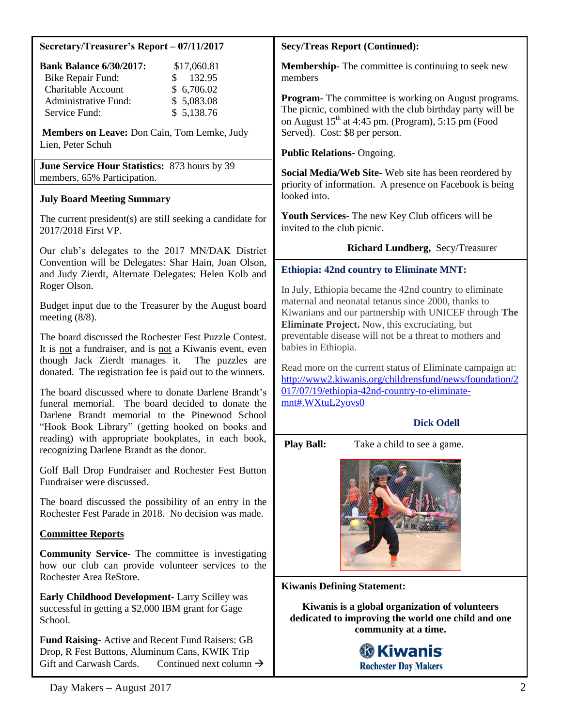## **Secretary/Treasurer's Report – 07/11/2017**

| <b>Bank Balance 6/30/2017:</b> | \$17,060.81            |
|--------------------------------|------------------------|
| <b>Bike Repair Fund:</b>       | 132.95<br>$\mathbf{S}$ |
| <b>Charitable Account</b>      | \$6,706.02             |
| Administrative Fund:           | \$5,083.08             |
| Service Fund:                  | \$5,138.76             |

**Members on Leave:** Don Cain, Tom Lemke, Judy Lien, Peter Schuh

**June Service Hour Statistics:** 873 hours by 39 members, 65% Participation.

# **July Board Meeting Summary**

The current president(s) are still seeking a candidate for 2017/2018 First VP.

Our club's delegates to the 2017 MN/DAK District Convention will be Delegates: Shar Hain, Joan Olson, and Judy Zierdt, Alternate Delegates: Helen Kolb and Roger Olson.

Budget input due to the Treasurer by the August board meeting (8/8).

The board discussed the Rochester Fest Puzzle Contest. It is not a fundraiser, and is not a Kiwanis event, even though Jack Zierdt manages it. The puzzles are donated. The registration fee is paid out to the winners.

The board discussed where to donate Darlene Brandt's funeral memorial. The board decided **t**o donate the Darlene Brandt memorial to the Pinewood School "Hook Book Library" (getting hooked on books and reading) with appropriate bookplates, in each book, recognizing Darlene Brandt as the donor.

Golf Ball Drop Fundraiser and Rochester Fest Button Fundraiser were discussed.

The board discussed the possibility of an entry in the Rochester Fest Parade in 2018. No decision was made.

### **Committee Reports**

**Community Service-** The committee is investigating how our club can provide volunteer services to the Rochester Area ReStore.

**Early Childhood Development-** Larry Scilley was successful in getting a \$2,000 IBM grant for Gage School.

**Fund Raising-** Active and Recent Fund Raisers: GB Drop, R Fest Buttons, Aluminum Cans, KWIK Trip Gift and Carwash Cards. Continued next column  $\rightarrow$ 

### **Secy/Treas Report (Continued):**

**Membership-** The committee is continuing to seek new members

**Program-** The committee is working on August programs. The picnic, combined with the club birthday party will be on August  $15<sup>th</sup>$  at 4:45 pm. (Program), 5:15 pm (Food Served). Cost: \$8 per person.

### **Public Relations-** Ongoing.

**Social Media/Web Site-** Web site has been reordered by priority of information. A presence on Facebook is being looked into.

**Youth Services-** The new Key Club officers will be invited to the club picnic.

# **Richard Lundberg,** Secy/Treasurer

# **Ethiopia: 42nd country to Eliminate MNT:**

In July, Ethiopia became the 42nd country to eliminate maternal and neonatal tetanus since 2000, thanks to Kiwanians and our partnership with UNICEF through **The Eliminate Project.** Now, this excruciating, but preventable disease will not be a threat to mothers and babies in Ethiopia.

Read more on the current status of Eliminate campaign at: [http://www2.kiwanis.org/childrensfund/news/foundation/2](http://www2.kiwanis.org/childrensfund/news/foundation/2017/07/19/ethiopia-42nd-country-to-eliminate-mnt#.WXtuL2yovs0) [017/07/19/ethiopia-42nd-country-to-eliminate](http://www2.kiwanis.org/childrensfund/news/foundation/2017/07/19/ethiopia-42nd-country-to-eliminate-mnt#.WXtuL2yovs0)[mnt#.WXtuL2yovs0](http://www2.kiwanis.org/childrensfund/news/foundation/2017/07/19/ethiopia-42nd-country-to-eliminate-mnt#.WXtuL2yovs0)

# **Dick Odell**

**Play Ball:** Take a child to see a game.



**Kiwanis Defining Statement:**

**Kiwanis is a global organization of volunteers dedicated to improving the world one child and one community at a time.**

# **®Kiwanis Rochester Day Makers**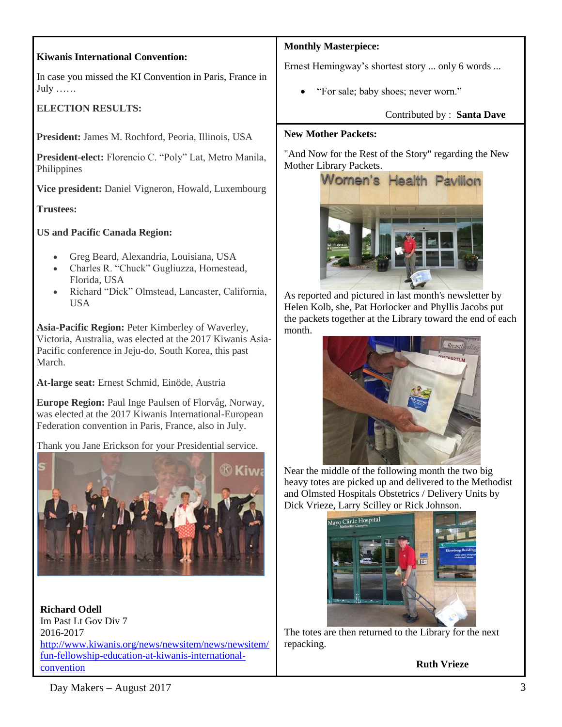# **Kiwanis International Convention:**

In case you missed the KI Convention in Paris, France in July ……

# **ELECTION RESULTS:**

**President:** James M. Rochford, Peoria, Illinois, USA

**President-elect:** Florencio C. "Poly" Lat, Metro Manila, Philippines

**Vice president:** Daniel Vigneron, Howald, Luxembourg

**Trustees:**

**US and Pacific Canada Region:**

- Greg Beard, Alexandria, Louisiana, USA
- Charles R. "Chuck" Gugliuzza, Homestead, Florida, USA
- Richard "Dick" Olmstead, Lancaster, California, USA

**Asia-Pacific Region:** Peter Kimberley of Waverley, Victoria, Australia, was elected at the 2017 Kiwanis Asia-Pacific conference in Jeju-do, South Korea, this past March.

**At-large seat:** Ernest Schmid, Einöde, Austria

**Europe Region:** Paul Inge Paulsen of Florvåg, Norway, was elected at the 2017 Kiwanis International-European Federation convention in Paris, France, also in July.

Thank you Jane Erickson for your Presidential service.



**Richard Odell** Im Past Lt Gov Div 7 2016-2017 [http://www.kiwanis.org/news/newsitem/news/newsitem/](http://www.kiwanis.org/news/newsitem/news/newsitem/fun-fellowship-education-at-kiwanis-international-convention) [fun-fellowship-education-at-kiwanis-international](http://www.kiwanis.org/news/newsitem/news/newsitem/fun-fellowship-education-at-kiwanis-international-convention)[convention](http://www.kiwanis.org/news/newsitem/news/newsitem/fun-fellowship-education-at-kiwanis-international-convention)

### **Monthly Masterpiece:**

Ernest Hemingway's shortest story ... only 6 words ...

"For sale; baby shoes; never worn."

### Contributed by : **Santa Dave**

### **New Mother Packets:**

"And Now for the Rest of the Story" regarding the New Mother Library Packets.



As reported and pictured in last month's newsletter by Helen Kolb, she, Pat Horlocker and Phyllis Jacobs put the packets together at the Library toward the end of each month.



Near the middle of the following month the two big heavy totes are picked up and delivered to the Methodist and Olmsted Hospitals Obstetrics / Delivery Units by Dick Vrieze, Larry Scilley or Rick Johnson.



The totes are then returned to the Library for the next repacking.

**Ruth Vrieze**